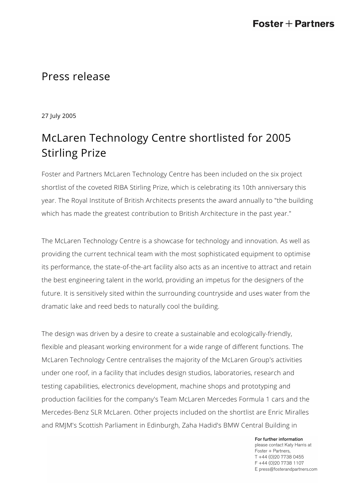## Press release

27 July 2005

## McLaren Technology Centre shortlisted for 2005 Stirling Prize

Foster and Partners McLaren Technology Centre has been included on the six project shortlist of the coveted RIBA Stirling Prize, which is celebrating its 10th anniversary this year. The Royal Institute of British Architects presents the award annually to "the building which has made the greatest contribution to British Architecture in the past year."

The McLaren Technology Centre is a showcase for technology and innovation. As well as providing the current technical team with the most sophisticated equipment to optimise its performance, the state-of-the-art facility also acts as an incentive to attract and retain the best engineering talent in the world, providing an impetus for the designers of the future. It is sensitively sited within the surrounding countryside and uses water from the dramatic lake and reed beds to naturally cool the building.

The design was driven by a desire to create a sustainable and ecologically-friendly, flexible and pleasant working environment for a wide range of different functions. The McLaren Technology Centre centralises the majority of the McLaren Group's activities under one roof, in a facility that includes design studios, laboratories, research and testing capabilities, electronics development, machine shops and prototyping and production facilities for the company's Team McLaren Mercedes Formula 1 cars and the Mercedes-Benz SLR McLaren. Other projects included on the shortlist are Enric Miralles and RMJM's Scottish Parliament in Edinburgh, Zaha Hadid's BMW Central Building in

> For further information please contact Katy Harris at Foster + Partners, T +44 (0)20 7738 0455 F +44 (0)20 7738 1107 E press@fosterandpartners.com